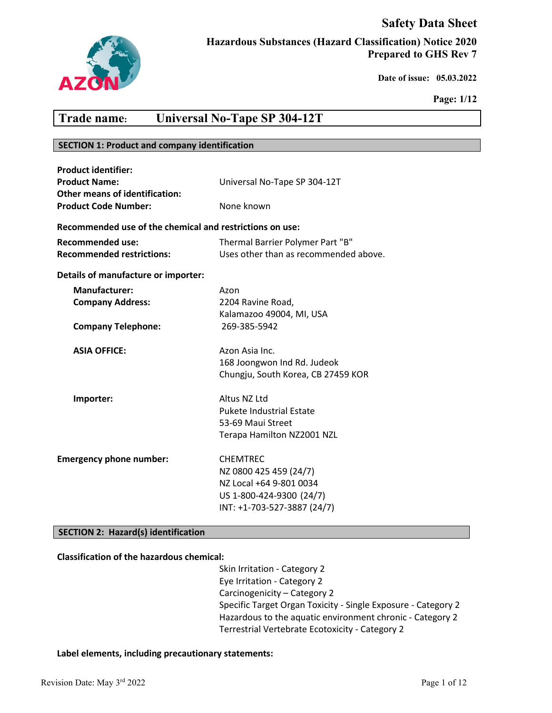# **Safety Data Sheet**



**Hazardous Substances (Hazard Classification) Notice 2020 Prepared to GHS Rev 7**

 **Date of issue: 05.03.2022** 

**Page: 1/12**

# **Trade name: Universal No-Tape SP 304-12T**

### **SECTION 1: Product and company identification**

| <b>Product identifier:</b><br><b>Product Name:</b><br><b>Other means of identification:</b> | Universal No-Tape SP 304-12T                                                                                                    |
|---------------------------------------------------------------------------------------------|---------------------------------------------------------------------------------------------------------------------------------|
| <b>Product Code Number:</b>                                                                 | None known                                                                                                                      |
| Recommended use of the chemical and restrictions on use:                                    |                                                                                                                                 |
| <b>Recommended use:</b><br><b>Recommended restrictions:</b>                                 | Thermal Barrier Polymer Part "B"<br>Uses other than as recommended above.                                                       |
| Details of manufacture or importer:                                                         |                                                                                                                                 |
| Manufacturer:<br><b>Company Address:</b>                                                    | Azon<br>2204 Ravine Road,<br>Kalamazoo 49004, MI, USA                                                                           |
| <b>Company Telephone:</b>                                                                   | 269-385-5942                                                                                                                    |
| <b>ASIA OFFICE:</b>                                                                         | Azon Asia Inc.<br>168 Joongwon Ind Rd. Judeok<br>Chungju, South Korea, CB 27459 KOR                                             |
| Importer:                                                                                   | Altus NZ Ltd<br><b>Pukete Industrial Estate</b><br>53-69 Maui Street<br>Terapa Hamilton NZ2001 NZL                              |
| <b>Emergency phone number:</b>                                                              | <b>CHEMTREC</b><br>NZ 0800 425 459 (24/7)<br>NZ Local +64 9-801 0034<br>US 1-800-424-9300 (24/7)<br>INT: +1-703-527-3887 (24/7) |

# **SECTION 2: Hazard(s) identification**

#### **Classification of the hazardous chemical:**

Skin Irritation - Category 2 Eye Irritation - Category 2 Carcinogenicity – Category 2 Specific Target Organ Toxicity - Single Exposure - Category 2 Hazardous to the aquatic environment chronic - Category 2 Terrestrial Vertebrate Ecotoxicity - Category 2

## **Label elements, including precautionary statements:**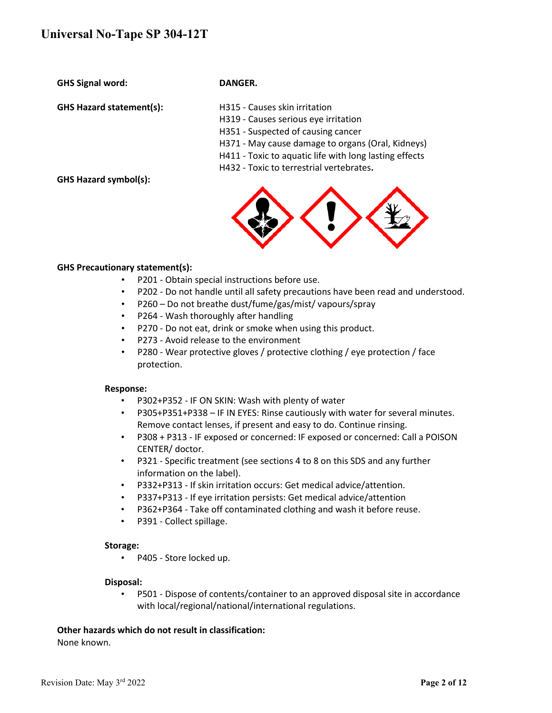**GHS Signal word: DANGER.**

**GHS Hazard statement(s):** H315 - Causes skin irritation

- 
- H319 Causes serious eye irritation
- H351 Suspected of causing cancer
- H371 May cause damage to organs (Oral, Kidneys)
- H411 Toxic to aquatic life with long lasting effects
- H432 Toxic to terrestrial vertebrates**.**

**GHS Hazard symbol(s):**



### **GHS Precautionary statement(s):**

- P201 Obtain special instructions before use.
- P202 Do not handle until all safety precautions have been read and understood.
- P260 Do not breathe dust/fume/gas/mist/ vapours/spray
- P264 Wash thoroughly after handling
- P270 Do not eat, drink or smoke when using this product.
- P273 Avoid release to the environment
- P280 Wear protective gloves / protective clothing / eye protection / face protection.

#### **Response:**

- P302+P352 IF ON SKIN: Wash with plenty of water
- P305+P351+P338 IF IN EYES: Rinse cautiously with water for several minutes. Remove contact lenses, if present and easy to do. Continue rinsing.
- P308 + P313 IF exposed or concerned: IF exposed or concerned: Call a POISON CENTER/ doctor.
- P321 Specific treatment (see sections 4 to 8 on this SDS and any further information on the label).
- P332+P313 If skin irritation occurs: Get medical advice/attention.
- P337+P313 If eye irritation persists: Get medical advice/attention
- P362+P364 Take off contaminated clothing and wash it before reuse.
- P391 Collect spillage.

#### **Storage:**

• P405 - Store locked up.

# **Disposal:**

• P501 - Dispose of contents/container to an approved disposal site in accordance with local/regional/national/international regulations.

# **Other hazards which do not result in classification:**

None known.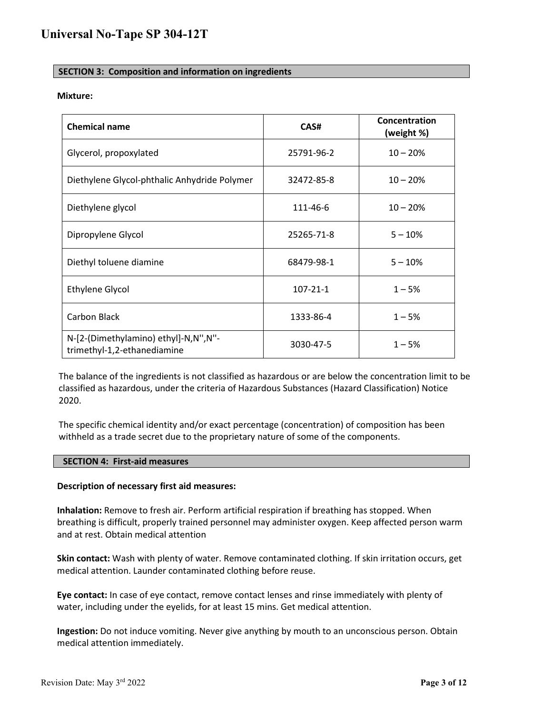# **SECTION 3: Composition and information on ingredients**

#### **Mixture:**

| <b>Chemical name</b>                                                | CAS#           | Concentration<br>(weight %) |
|---------------------------------------------------------------------|----------------|-----------------------------|
| Glycerol, propoxylated                                              | 25791-96-2     | $10 - 20%$                  |
| Diethylene Glycol-phthalic Anhydride Polymer                        | 32472-85-8     | $10 - 20%$                  |
| Diethylene glycol                                                   | 111-46-6       | $10 - 20%$                  |
| Dipropylene Glycol                                                  | 25265-71-8     | $5 - 10%$                   |
| Diethyl toluene diamine                                             | 68479-98-1     | $5 - 10%$                   |
| <b>Ethylene Glycol</b>                                              | $107 - 21 - 1$ | $1 - 5%$                    |
| Carbon Black                                                        | 1333-86-4      | $1 - 5%$                    |
| N-[2-(Dimethylamino) ethyl]-N,N",N"-<br>trimethyl-1,2-ethanediamine | 3030-47-5      | $1 - 5%$                    |

The balance of the ingredients is not classified as hazardous or are below the concentration limit to be classified as hazardous, under the criteria of Hazardous Substances (Hazard Classification) Notice 2020.

The specific chemical identity and/or exact percentage (concentration) of composition has been withheld as a trade secret due to the proprietary nature of some of the components.

#### **SECTION 4: First-aid measures**

#### **Description of necessary first aid measures:**

**Inhalation:** Remove to fresh air. Perform artificial respiration if breathing has stopped. When breathing is difficult, properly trained personnel may administer oxygen. Keep affected person warm and at rest. Obtain medical attention

**Skin contact:** Wash with plenty of water. Remove contaminated clothing. If skin irritation occurs, get medical attention. Launder contaminated clothing before reuse.

**Eye contact:** In case of eye contact, remove contact lenses and rinse immediately with plenty of water, including under the eyelids, for at least 15 mins. Get medical attention.

**Ingestion:** Do not induce vomiting. Never give anything by mouth to an unconscious person. Obtain medical attention immediately.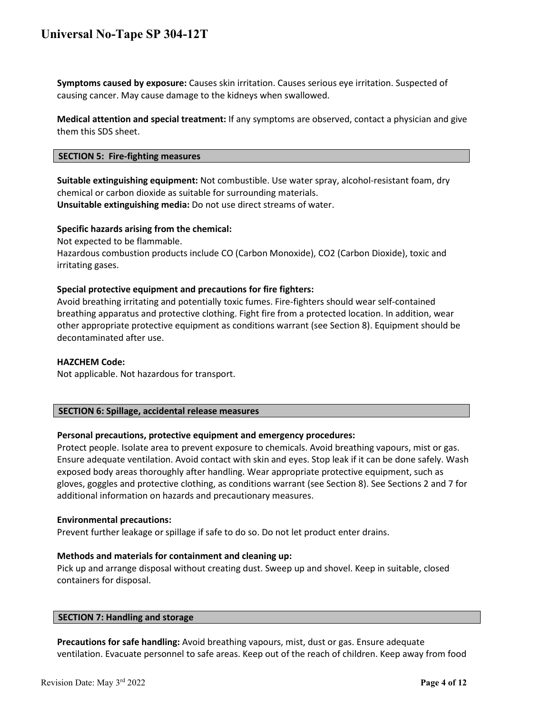**Symptoms caused by exposure:** Causes skin irritation. Causes serious eye irritation. Suspected of causing cancer. May cause damage to the kidneys when swallowed.

**Medical attention and special treatment:** If any symptoms are observed, contact a physician and give them this SDS sheet.

#### **SECTION 5: Fire-fighting measures**

**Suitable extinguishing equipment:** Not combustible. Use water spray, alcohol-resistant foam, dry chemical or carbon dioxide as suitable for surrounding materials.

**Unsuitable extinguishing media:** Do not use direct streams of water.

#### **Specific hazards arising from the chemical:**

Not expected to be flammable.

Hazardous combustion products include CO (Carbon Monoxide), CO2 (Carbon Dioxide), toxic and irritating gases.

#### **Special protective equipment and precautions for fire fighters:**

Avoid breathing irritating and potentially toxic fumes. Fire-fighters should wear self-contained breathing apparatus and protective clothing. Fight fire from a protected location. In addition, wear other appropriate protective equipment as conditions warrant (see Section 8). Equipment should be decontaminated after use.

#### **HAZCHEM Code:**

Not applicable. Not hazardous for transport.

#### **SECTION 6: Spillage, accidental release measures**

#### **Personal precautions, protective equipment and emergency procedures:**

Protect people. Isolate area to prevent exposure to chemicals. Avoid breathing vapours, mist or gas. Ensure adequate ventilation. Avoid contact with skin and eyes. Stop leak if it can be done safely. Wash exposed body areas thoroughly after handling. Wear appropriate protective equipment, such as gloves, goggles and protective clothing, as conditions warrant (see Section 8). See Sections 2 and 7 for additional information on hazards and precautionary measures.

#### **Environmental precautions:**

Prevent further leakage or spillage if safe to do so. Do not let product enter drains.

#### **Methods and materials for containment and cleaning up:**

Pick up and arrange disposal without creating dust. Sweep up and shovel. Keep in suitable, closed containers for disposal.

#### **SECTION 7: Handling and storage**

**Precautions for safe handling:** Avoid breathing vapours, mist, dust or gas. Ensure adequate ventilation. Evacuate personnel to safe areas. Keep out of the reach of children. Keep away from food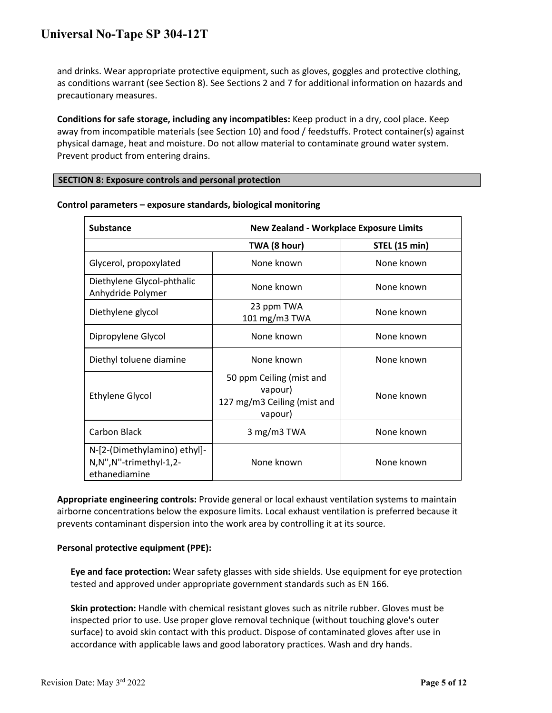and drinks. Wear appropriate protective equipment, such as gloves, goggles and protective clothing, as conditions warrant (see Section 8). See Sections 2 and 7 for additional information on hazards and precautionary measures.

**Conditions for safe storage, including any incompatibles:** Keep product in a dry, cool place. Keep away from incompatible materials (see Section 10) and food / feedstuffs. Protect container(s) against physical damage, heat and moisture. Do not allow material to contaminate ground water system. Prevent product from entering drains.

#### **SECTION 8: Exposure controls and personal protection**

| <b>Substance</b>                                                        | <b>New Zealand - Workplace Exposure Limits</b>                                |                      |
|-------------------------------------------------------------------------|-------------------------------------------------------------------------------|----------------------|
|                                                                         | TWA (8 hour)                                                                  | <b>STEL (15 min)</b> |
| Glycerol, propoxylated                                                  | None known                                                                    | None known           |
| Diethylene Glycol-phthalic<br>Anhydride Polymer                         | None known                                                                    | None known           |
| Diethylene glycol                                                       | 23 ppm TWA<br>101 mg/m3 TWA                                                   | None known           |
| Dipropylene Glycol                                                      | None known                                                                    | None known           |
| Diethyl toluene diamine                                                 | None known                                                                    | None known           |
| <b>Ethylene Glycol</b>                                                  | 50 ppm Ceiling (mist and<br>vapour)<br>127 mg/m3 Ceiling (mist and<br>vapour) | None known           |
| Carbon Black                                                            | 3 mg/m3 TWA                                                                   | None known           |
| N-[2-(Dimethylamino) ethyl]-<br>N,N",N"-trimethyl-1,2-<br>ethanediamine | None known                                                                    | None known           |

**Control parameters – exposure standards, biological monitoring**

**Appropriate engineering controls:** Provide general or local exhaust ventilation systems to maintain airborne concentrations below the exposure limits. Local exhaust ventilation is preferred because it prevents contaminant dispersion into the work area by controlling it at its source.

#### **Personal protective equipment (PPE):**

**Eye and face protection:** Wear safety glasses with side shields. Use equipment for eye protection tested and approved under appropriate government standards such as EN 166.

**Skin protection:** Handle with chemical resistant gloves such as nitrile rubber. Gloves must be inspected prior to use. Use proper glove removal technique (without touching glove's outer surface) to avoid skin contact with this product. Dispose of contaminated gloves after use in accordance with applicable laws and good laboratory practices. Wash and dry hands.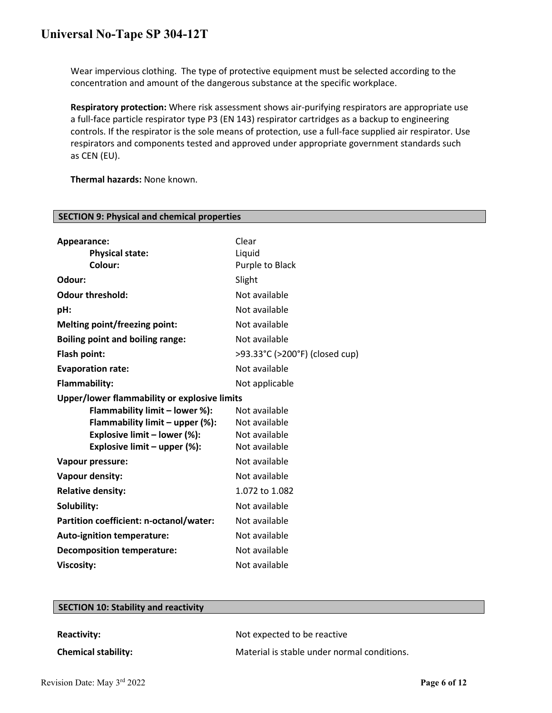Wear impervious clothing. The type of protective equipment must be selected according to the concentration and amount of the dangerous substance at the specific workplace.

**Respiratory protection:** Where risk assessment shows air-purifying respirators are appropriate use a full-face particle respirator type P3 (EN 143) respirator cartridges as a backup to engineering controls. If the respirator is the sole means of protection, use a full-face supplied air respirator. Use respirators and components tested and approved under appropriate government standards such as CEN (EU).

**Thermal hazards:** None known.

**SECTION 9: Physical and chemical properties**

| Appearance:                                  | Clear                          |
|----------------------------------------------|--------------------------------|
| <b>Physical state:</b>                       | Liquid                         |
| Colour:                                      | Purple to Black                |
| Odour:                                       | Slight                         |
| <b>Odour threshold:</b>                      | Not available                  |
| pH:                                          | Not available                  |
| <b>Melting point/freezing point:</b>         | Not available                  |
| <b>Boiling point and boiling range:</b>      | Not available                  |
| Flash point:                                 | >93.33°C (>200°F) (closed cup) |
| <b>Evaporation rate:</b>                     | Not available                  |
| Flammability:                                | Not applicable                 |
| Upper/lower flammability or explosive limits |                                |
| Flammability limit - lower %):               | Not available                  |
| Flammability limit - upper (%):              | Not available                  |
| Explosive limit - lower (%):                 | Not available                  |
| Explosive limit - upper (%):                 | Not available                  |
| Vapour pressure:                             | Not available                  |
| Vapour density:                              | Not available                  |
| <b>Relative density:</b>                     | 1.072 to 1.082                 |
| Solubility:                                  | Not available                  |
| Partition coefficient: n-octanol/water:      | Not available                  |
| <b>Auto-ignition temperature:</b>            | Not available                  |
| <b>Decomposition temperature:</b>            | Not available                  |
| <b>Viscosity:</b>                            | Not available                  |

| <b>SECTION 10: Stability and reactivity</b> |                                             |
|---------------------------------------------|---------------------------------------------|
|                                             |                                             |
| <b>Reactivity:</b>                          | Not expected to be reactive                 |
| <b>Chemical stability:</b>                  | Material is stable under normal conditions. |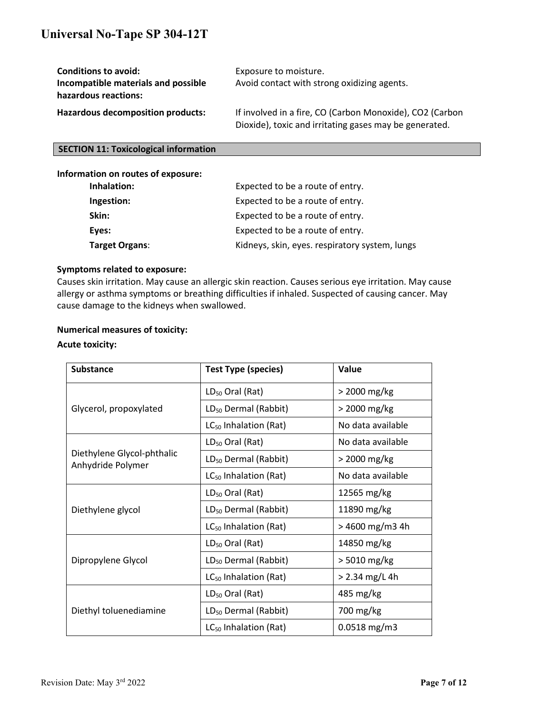| <b>Conditions to avoid:</b><br>Incompatible materials and possible<br>hazardous reactions: | Exposure to moisture.<br>Avoid contact with strong oxidizing agents.                                               |
|--------------------------------------------------------------------------------------------|--------------------------------------------------------------------------------------------------------------------|
| <b>Hazardous decomposition products:</b>                                                   | If involved in a fire, CO (Carbon Monoxide), CO2 (Carbon<br>Dioxide), toxic and irritating gases may be generated. |

# **SECTION 11: Toxicological information**

# **Information on routes of exposure:**

| Inhalation:           | Expected to be a route of entry.               |  |
|-----------------------|------------------------------------------------|--|
| Ingestion:            | Expected to be a route of entry.               |  |
| Skin:                 | Expected to be a route of entry.               |  |
| Eyes:                 | Expected to be a route of entry.               |  |
| <b>Target Organs:</b> | Kidneys, skin, eyes. respiratory system, lungs |  |

#### **Symptoms related to exposure:**

Causes skin irritation. May cause an allergic skin reaction. Causes serious eye irritation. May cause allergy or asthma symptoms or breathing difficulties if inhaled. Suspected of causing cancer. May cause damage to the kidneys when swallowed.

## **Numerical measures of toxicity:**

### **Acute toxicity:**

| <b>Substance</b>                                | <b>Test Type (species)</b>        | Value             |
|-------------------------------------------------|-----------------------------------|-------------------|
|                                                 | $LD_{50}$ Oral (Rat)              | > 2000 mg/kg      |
| Glycerol, propoxylated                          | LD <sub>50</sub> Dermal (Rabbit)  | > 2000 mg/kg      |
|                                                 | LC <sub>50</sub> Inhalation (Rat) | No data available |
|                                                 | $LD_{50}$ Oral (Rat)              | No data available |
| Diethylene Glycol-phthalic<br>Anhydride Polymer | LD <sub>50</sub> Dermal (Rabbit)  | > 2000 mg/kg      |
|                                                 | LC <sub>50</sub> Inhalation (Rat) | No data available |
|                                                 | LD <sub>50</sub> Oral (Rat)       | 12565 mg/kg       |
| Diethylene glycol                               | LD <sub>50</sub> Dermal (Rabbit)  | 11890 mg/kg       |
|                                                 | LC <sub>50</sub> Inhalation (Rat) | > 4600 mg/m3 4h   |
|                                                 | $LD_{50}$ Oral (Rat)              | 14850 mg/kg       |
| Dipropylene Glycol                              | LD <sub>50</sub> Dermal (Rabbit)  | > 5010 mg/kg      |
|                                                 | LC <sub>50</sub> Inhalation (Rat) | > 2.34 mg/L 4h    |
| Diethyl toluenediamine                          | $LD_{50}$ Oral (Rat)              | 485 mg/kg         |
|                                                 | LD <sub>50</sub> Dermal (Rabbit)  | 700 mg/kg         |
|                                                 | $LC_{50}$ Inhalation (Rat)        | $0.0518$ mg/m3    |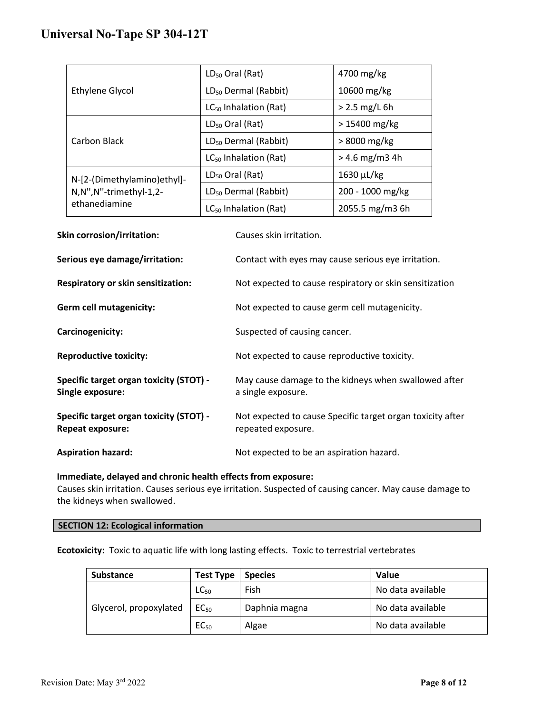| <b>Ethylene Glycol</b>                                                 | $LD_{50}$ Oral (Rat)              | 4700 mg/kg       |
|------------------------------------------------------------------------|-----------------------------------|------------------|
|                                                                        | LD <sub>50</sub> Dermal (Rabbit)  | 10600 mg/kg      |
|                                                                        | LC <sub>50</sub> Inhalation (Rat) | $> 2.5$ mg/L 6h  |
| Carbon Black                                                           | $LD_{50}$ Oral (Rat)              | $>15400$ mg/kg   |
|                                                                        | LD <sub>50</sub> Dermal (Rabbit)  | $>8000$ mg/kg    |
|                                                                        | $LC_{50}$ Inhalation (Rat)        | $> 4.6$ mg/m3 4h |
| N-[2-(Dimethylamino)ethyl]-<br>N,N",N"-trimethyl-1,2-<br>ethanediamine | $LD_{50}$ Oral (Rat)              | $1630 \mu L/kg$  |
|                                                                        | LD <sub>50</sub> Dermal (Rabbit)  | 200 - 1000 mg/kg |
|                                                                        | LC <sub>50</sub> Inhalation (Rat) | 2055.5 mg/m3 6h  |
|                                                                        |                                   |                  |

| <b>Skin corrosion/irritation:</b>                                  | Causes skin irritation.                                                          |  |
|--------------------------------------------------------------------|----------------------------------------------------------------------------------|--|
| Serious eye damage/irritation:                                     | Contact with eyes may cause serious eye irritation.                              |  |
| <b>Respiratory or skin sensitization:</b>                          | Not expected to cause respiratory or skin sensitization                          |  |
| <b>Germ cell mutagenicity:</b>                                     | Not expected to cause germ cell mutagenicity.                                    |  |
| Carcinogenicity:                                                   | Suspected of causing cancer.                                                     |  |
| <b>Reproductive toxicity:</b>                                      | Not expected to cause reproductive toxicity.                                     |  |
| Specific target organ toxicity (STOT) -<br>Single exposure:        | May cause damage to the kidneys when swallowed after<br>a single exposure.       |  |
| Specific target organ toxicity (STOT) -<br><b>Repeat exposure:</b> | Not expected to cause Specific target organ toxicity after<br>repeated exposure. |  |
| <b>Aspiration hazard:</b>                                          | Not expected to be an aspiration hazard.                                         |  |

# **Immediate, delayed and chronic health effects from exposure:**

Causes skin irritation. Causes serious eye irritation. Suspected of causing cancer. May cause damage to the kidneys when swallowed.

# **SECTION 12: Ecological information**

**Ecotoxicity:** Toxic to aquatic life with long lasting effects. Toxic to terrestrial vertebrates

| <b>Substance</b>       | <b>Test Type</b> | <b>Species</b> | Value             |
|------------------------|------------------|----------------|-------------------|
| Glycerol, propoxylated | $LC_{50}$        | Fish           | No data available |
|                        | EC <sub>50</sub> | Daphnia magna  | No data available |
|                        | EC <sub>50</sub> | Algae          | No data available |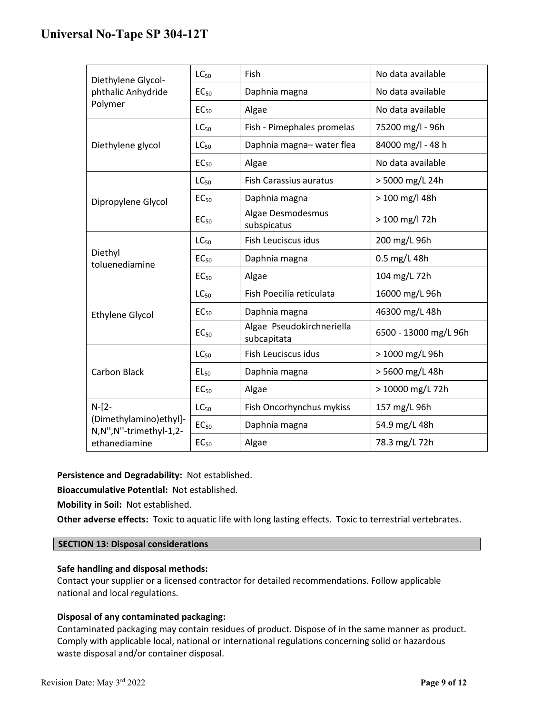| Diethylene Glycol-                                            | $LC_{50}$        | Fish                                     | No data available     |
|---------------------------------------------------------------|------------------|------------------------------------------|-----------------------|
| phthalic Anhydride<br>Polymer                                 | EC <sub>50</sub> | Daphnia magna                            | No data available     |
|                                                               | EC <sub>50</sub> | Algae                                    | No data available     |
|                                                               | LC <sub>50</sub> | Fish - Pimephales promelas               | 75200 mg/l - 96h      |
| Diethylene glycol                                             | $LC_{50}$        | Daphnia magna-water flea                 | 84000 mg/l - 48 h     |
|                                                               | EC <sub>50</sub> | Algae                                    | No data available     |
|                                                               | $LC_{50}$        | <b>Fish Carassius auratus</b>            | > 5000 mg/L 24h       |
| Dipropylene Glycol                                            | EC <sub>50</sub> | Daphnia magna                            | > 100 mg/l 48h        |
|                                                               | EC <sub>50</sub> | Algae Desmodesmus<br>subspicatus         | > 100 mg/l 72h        |
|                                                               | $LC_{50}$        | Fish Leuciscus idus                      | 200 mg/L 96h          |
| Diethyl<br>toluenediamine                                     | EC <sub>50</sub> | Daphnia magna                            | 0.5 mg/L 48h          |
|                                                               | EC <sub>50</sub> | Algae                                    | 104 mg/L 72h          |
|                                                               | $LC_{50}$        | Fish Poecilia reticulata                 | 16000 mg/L 96h        |
| <b>Ethylene Glycol</b>                                        | EC <sub>50</sub> | Daphnia magna                            | 46300 mg/L 48h        |
|                                                               | EC <sub>50</sub> | Algae Pseudokirchneriella<br>subcapitata | 6500 - 13000 mg/L 96h |
|                                                               | LC <sub>50</sub> | Fish Leuciscus idus                      | > 1000 mg/L 96h       |
| <b>Carbon Black</b>                                           | $EL_{50}$        | Daphnia magna                            | > 5600 mg/L 48h       |
|                                                               | EC <sub>50</sub> | Algae                                    | > 10000 mg/L 72h      |
| $N - 2 -$<br>(Dimethylamino)ethyl]-<br>N,N",N"-trimethyl-1,2- | $LC_{50}$        | Fish Oncorhynchus mykiss                 | 157 mg/L 96h          |
|                                                               | EC <sub>50</sub> | Daphnia magna                            | 54.9 mg/L 48h         |
| ethanediamine                                                 | EC <sub>50</sub> | Algae                                    | 78.3 mg/L 72h         |

**Persistence and Degradability:** Not established.

**Bioaccumulative Potential:** Not established.

**Mobility in Soil:** Not established.

**Other adverse effects:** Toxic to aquatic life with long lasting effects. Toxic to terrestrial vertebrates.

## **SECTION 13: Disposal considerations**

#### **Safe handling and disposal methods:**

Contact your supplier or a licensed contractor for detailed recommendations. Follow applicable national and local regulations.

# **Disposal of any contaminated packaging:**

Contaminated packaging may contain residues of product. Dispose of in the same manner as product. Comply with applicable local, national or international regulations concerning solid or hazardous waste disposal and/or container disposal.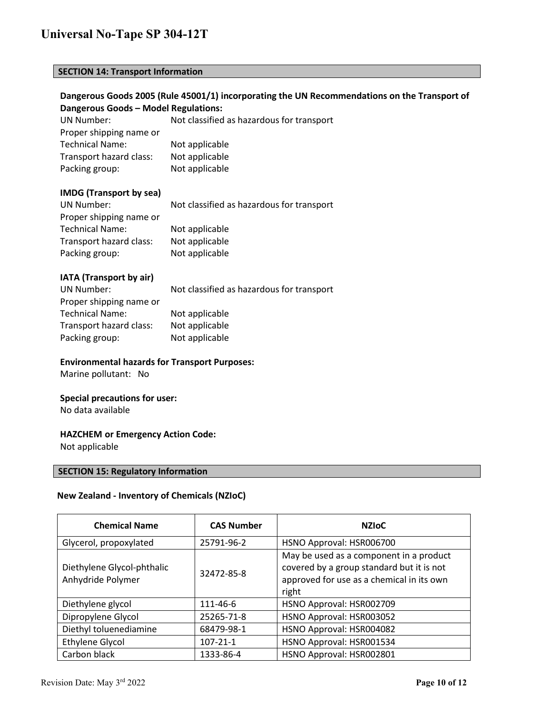# **SECTION 14: Transport Information**

# **Dangerous Goods 2005 (Rule 45001/1) incorporating the UN Recommendations on the Transport of Dangerous Goods – Model Regulations:**

UN Number: Not classified as hazardous for transport Proper shipping name or Technical Name: Not applicable Transport hazard class: Not applicable Packing group: Not applicable

# **IMDG (Transport by sea)**

| UN Number:              | Not classified as hazardous for transport |  |
|-------------------------|-------------------------------------------|--|
| Proper shipping name or |                                           |  |
| <b>Technical Name:</b>  | Not applicable                            |  |
| Transport hazard class: | Not applicable                            |  |
| Packing group:          | Not applicable                            |  |

# **IATA (Transport by air)**

| UN Number:              | Not classified as hazardous for transport |  |
|-------------------------|-------------------------------------------|--|
| Proper shipping name or |                                           |  |
| <b>Technical Name:</b>  | Not applicable                            |  |
| Transport hazard class: | Not applicable                            |  |
| Packing group:          | Not applicable                            |  |

#### **Environmental hazards for Transport Purposes:**

Marine pollutant: No

## **Special precautions for user:**

No data available

#### **HAZCHEM or Emergency Action Code:**

Not applicable

# **SECTION 15: Regulatory Information**

### **New Zealand - Inventory of Chemicals (NZIoC)**

| <b>Chemical Name</b>                            | <b>CAS Number</b> | <b>NZIOC</b>                                                                                                                               |
|-------------------------------------------------|-------------------|--------------------------------------------------------------------------------------------------------------------------------------------|
| Glycerol, propoxylated                          | 25791-96-2        | HSNO Approval: HSR006700                                                                                                                   |
| Diethylene Glycol-phthalic<br>Anhydride Polymer | 32472-85-8        | May be used as a component in a product<br>covered by a group standard but it is not<br>approved for use as a chemical in its own<br>right |
| Diethylene glycol                               | 111-46-6          | HSNO Approval: HSR002709                                                                                                                   |
| Dipropylene Glycol                              | 25265-71-8        | HSNO Approval: HSR003052                                                                                                                   |
| Diethyl toluenediamine                          | 68479-98-1        | HSNO Approval: HSR004082                                                                                                                   |
| Ethylene Glycol                                 | $107 - 21 - 1$    | HSNO Approval: HSR001534                                                                                                                   |
| Carbon black                                    | 1333-86-4         | HSNO Approval: HSR002801                                                                                                                   |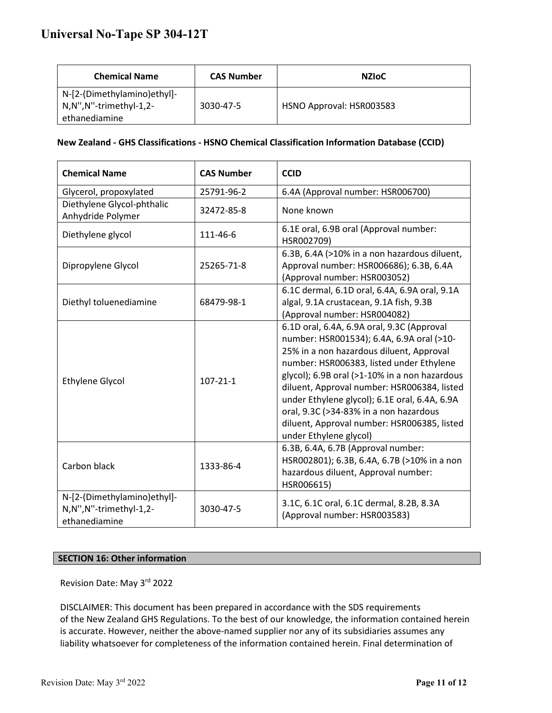| <b>Chemical Name</b>                                         | <b>CAS Number</b> | <b>NZIOC</b>             |
|--------------------------------------------------------------|-------------------|--------------------------|
| N-[2-(Dimethylamino)ethyl]-<br>$\mid$ N,N",N"-trimethyl-1,2- | 3030-47-5         | HSNO Approval: HSR003583 |
| ethanediamine                                                |                   |                          |

# **New Zealand - GHS Classifications - HSNO Chemical Classification Information Database (CCID)**

| <b>Chemical Name</b>                                                   | <b>CAS Number</b> | <b>CCID</b>                                                                                                                                                                                                                                                                                                                                                                                                                                         |
|------------------------------------------------------------------------|-------------------|-----------------------------------------------------------------------------------------------------------------------------------------------------------------------------------------------------------------------------------------------------------------------------------------------------------------------------------------------------------------------------------------------------------------------------------------------------|
| Glycerol, propoxylated                                                 | 25791-96-2        | 6.4A (Approval number: HSR006700)                                                                                                                                                                                                                                                                                                                                                                                                                   |
| Diethylene Glycol-phthalic<br>Anhydride Polymer                        | 32472-85-8        | None known                                                                                                                                                                                                                                                                                                                                                                                                                                          |
| Diethylene glycol                                                      | 111-46-6          | 6.1E oral, 6.9B oral (Approval number:<br>HSR002709)                                                                                                                                                                                                                                                                                                                                                                                                |
| Dipropylene Glycol                                                     | 25265-71-8        | 6.3B, 6.4A (>10% in a non hazardous diluent,<br>Approval number: HSR006686); 6.3B, 6.4A<br>(Approval number: HSR003052)                                                                                                                                                                                                                                                                                                                             |
| Diethyl toluenediamine                                                 | 68479-98-1        | 6.1C dermal, 6.1D oral, 6.4A, 6.9A oral, 9.1A<br>algal, 9.1A crustacean, 9.1A fish, 9.3B<br>(Approval number: HSR004082)                                                                                                                                                                                                                                                                                                                            |
| <b>Ethylene Glycol</b>                                                 | $107 - 21 - 1$    | 6.1D oral, 6.4A, 6.9A oral, 9.3C (Approval<br>number: HSR001534); 6.4A, 6.9A oral (>10-<br>25% in a non hazardous diluent, Approval<br>number: HSR006383, listed under Ethylene<br>glycol); 6.9B oral (>1-10% in a non hazardous<br>diluent, Approval number: HSR006384, listed<br>under Ethylene glycol); 6.1E oral, 6.4A, 6.9A<br>oral, 9.3C (>34-83% in a non hazardous<br>diluent, Approval number: HSR006385, listed<br>under Ethylene glycol) |
| Carbon black                                                           | 1333-86-4         | 6.3B, 6.4A, 6.7B (Approval number:<br>HSR002801); 6.3B, 6.4A, 6.7B (>10% in a non<br>hazardous diluent, Approval number:<br>HSR006615)                                                                                                                                                                                                                                                                                                              |
| N-[2-(Dimethylamino)ethyl]-<br>N,N",N"-trimethyl-1,2-<br>ethanediamine | 3030-47-5         | 3.1C, 6.1C oral, 6.1C dermal, 8.2B, 8.3A<br>(Approval number: HSR003583)                                                                                                                                                                                                                                                                                                                                                                            |

### **SECTION 16: Other information**

Revision Date: May 3rd 2022

DISCLAIMER: This document has been prepared in accordance with the SDS requirements of the New Zealand GHS Regulations. To the best of our knowledge, the information contained herein is accurate. However, neither the above-named supplier nor any of its subsidiaries assumes any liability whatsoever for completeness of the information contained herein. Final determination of